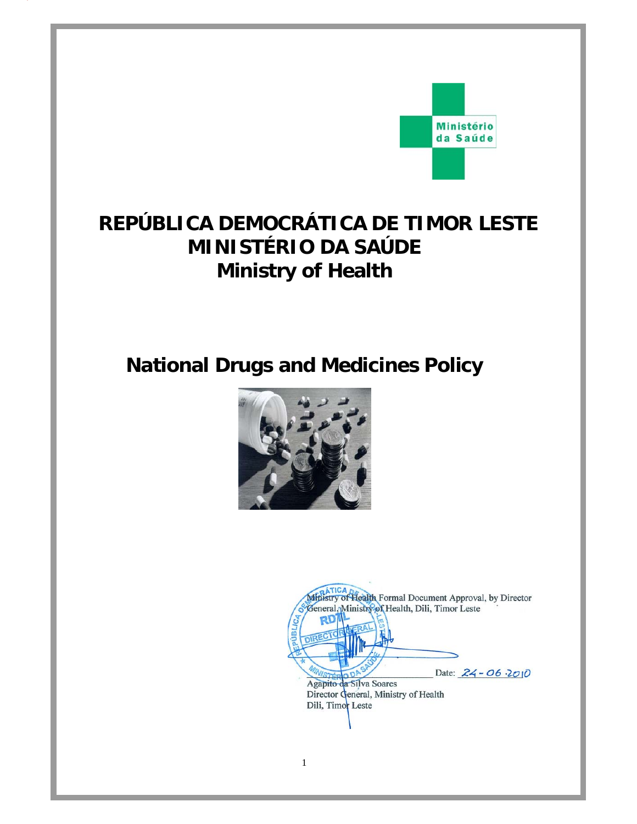

# **REPÚBLICA DEMOCRÁTICA DE TIMOR LESTE MINISTÉRIO DA SAÚDE Ministry of Health**

# **National Drugs and Medicines Policy**



1

Ministry of Health Formal Document Approval, by Director eneral, Ministry of Health, Dili, Timor Leste Date: 24 - 06 2010 Agapito da Silva Soares Director General, Ministry of Health Dili, Timor Leste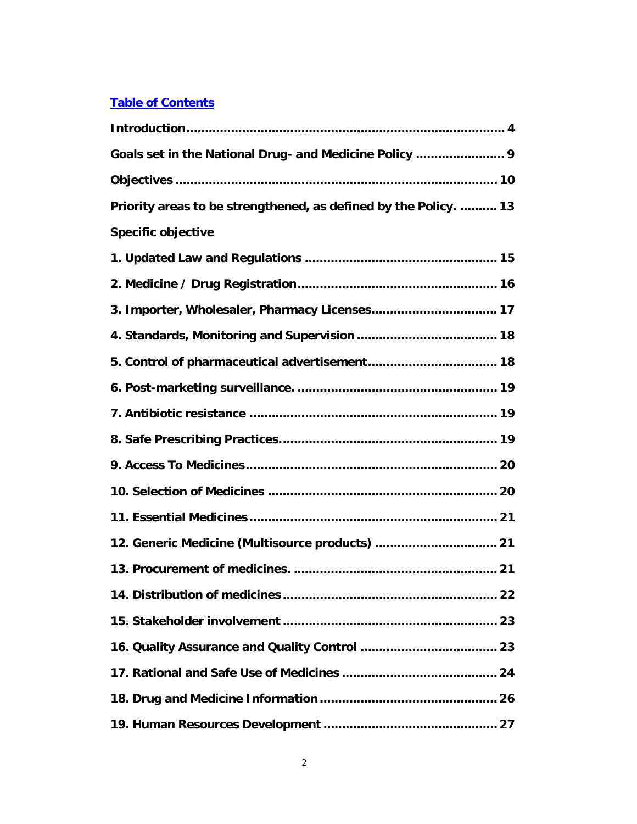#### **Table of Contents**

| Goals set in the National Drug- and Medicine Policy  9           |
|------------------------------------------------------------------|
|                                                                  |
| Priority areas to be strengthened, as defined by the Policy.  13 |
| <b>Specific objective</b>                                        |
|                                                                  |
|                                                                  |
|                                                                  |
|                                                                  |
|                                                                  |
|                                                                  |
|                                                                  |
|                                                                  |
|                                                                  |
|                                                                  |
|                                                                  |
| 12. Generic Medicine (Multisource products)  21                  |
|                                                                  |
|                                                                  |
|                                                                  |
|                                                                  |
|                                                                  |
|                                                                  |
|                                                                  |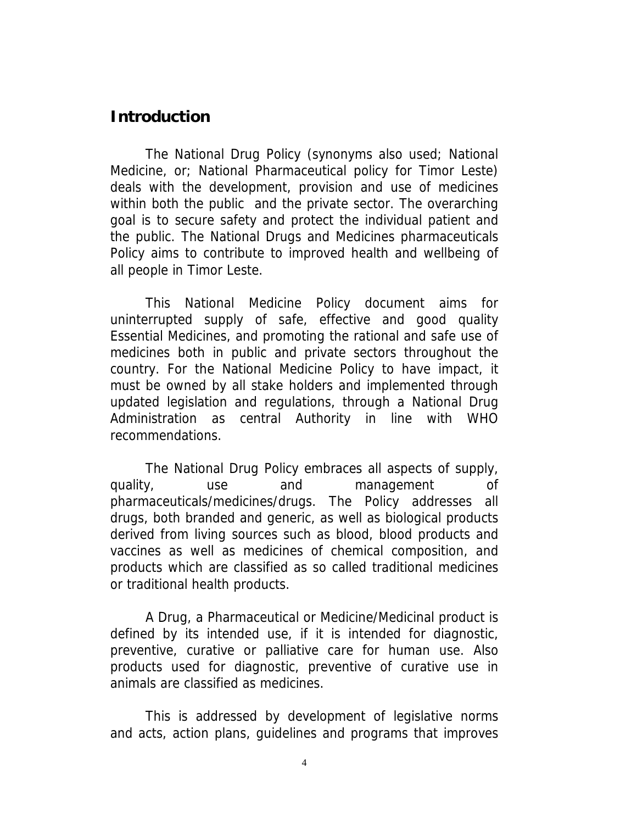## **Introduction**

The National Drug Policy (synonyms also used; National Medicine, or; National Pharmaceutical policy for Timor Leste) deals with the development, provision and use of medicines within both the public and the private sector. The overarching goal is to secure safety and protect the individual patient and the public. The National Drugs and Medicines pharmaceuticals Policy aims to contribute to improved health and wellbeing of all people in Timor Leste.

This National Medicine Policy document aims for uninterrupted supply of safe, effective and good quality Essential Medicines, and promoting the rational and safe use of medicines both in public and private sectors throughout the country. For the National Medicine Policy to have impact, it must be owned by all stake holders and implemented through updated legislation and regulations, through a National Drug Administration as central Authority in line with WHO recommendations.

The National Drug Policy embraces all aspects of supply, quality, use and management of pharmaceuticals/medicines/drugs. The Policy addresses all drugs, both branded and generic, as well as biological products derived from living sources such as blood, blood products and vaccines as well as medicines of chemical composition, and products which are classified as so called traditional medicines or traditional health products.

A Drug, a Pharmaceutical or Medicine/Medicinal product is defined by its intended use, if it is intended for diagnostic, preventive, curative or palliative care for human use. Also products used for diagnostic, preventive of curative use in animals are classified as medicines.

This is addressed by development of legislative norms and acts, action plans, guidelines and programs that improves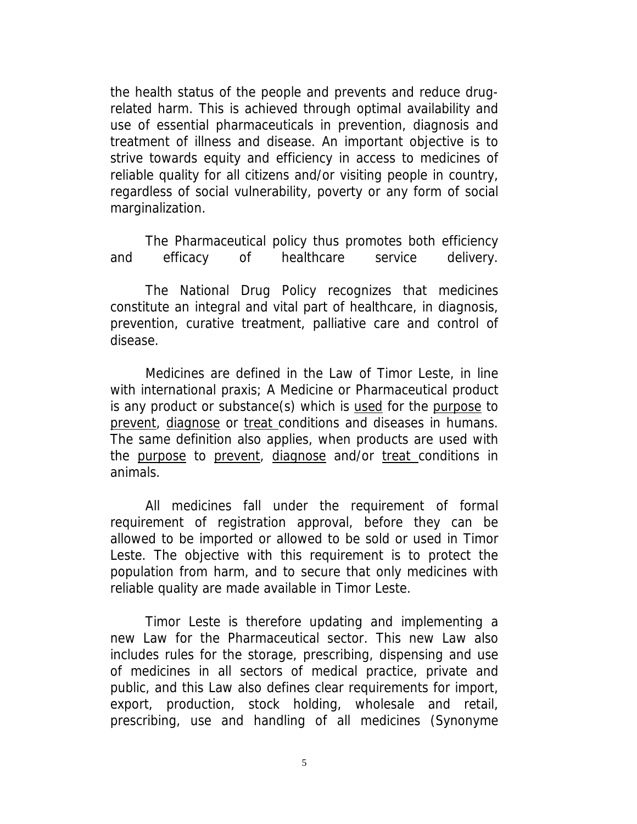the health status of the people and prevents and reduce drugrelated harm. This is achieved through optimal availability and use of essential pharmaceuticals in prevention, diagnosis and treatment of illness and disease. An important objective is to strive towards equity and efficiency in access to medicines of reliable quality for all citizens and/or visiting people in country, regardless of social vulnerability, poverty or any form of social marginalization.

The Pharmaceutical policy thus promotes both efficiency and efficacy of healthcare service delivery.

The National Drug Policy recognizes that medicines constitute an integral and vital part of healthcare, in diagnosis, prevention, curative treatment, palliative care and control of disease.

Medicines are defined in the Law of Timor Leste, in line with international praxis; A Medicine or Pharmaceutical product is any product or substance(s) which is used for the purpose to prevent, diagnose or treat conditions and diseases in humans. The same definition also applies, when products are used with the purpose to prevent, diagnose and/or treat conditions in animals.

All medicines fall under the requirement of formal requirement of registration approval, before they can be allowed to be imported or allowed to be sold or used in Timor Leste. The objective with this requirement is to protect the population from harm, and to secure that only medicines with reliable quality are made available in Timor Leste.

Timor Leste is therefore updating and implementing a new Law for the Pharmaceutical sector. This new Law also includes rules for the storage, prescribing, dispensing and use of medicines in all sectors of medical practice, private and public, and this Law also defines clear requirements for import, export, production, stock holding, wholesale and retail, prescribing, use and handling of all medicines (Synonyme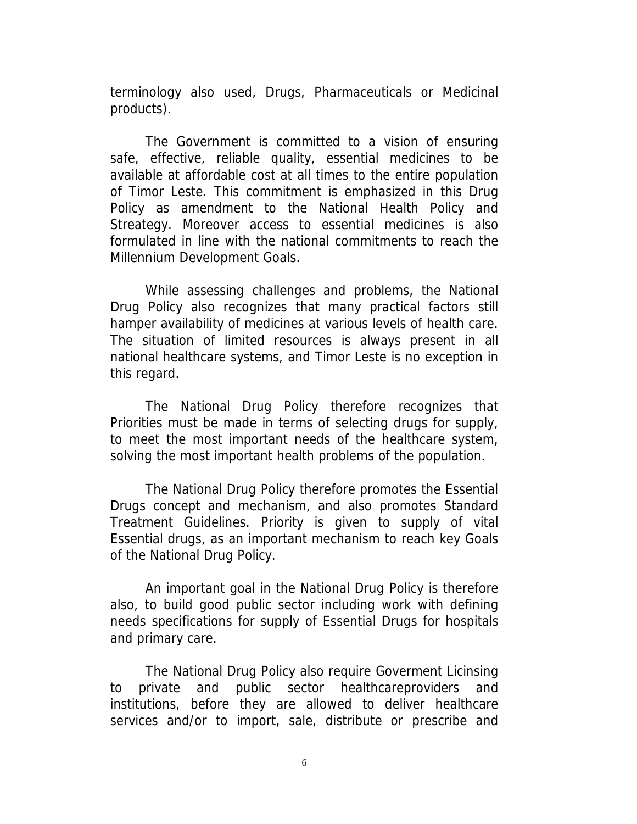terminology also used, Drugs, Pharmaceuticals or Medicinal products).

The Government is committed to a vision of ensuring safe, effective, reliable quality, essential medicines to be available at affordable cost at all times to the entire population of Timor Leste. This commitment is emphasized in this Drug Policy as amendment to the National Health Policy and Streategy. Moreover access to essential medicines is also formulated in line with the national commitments to reach the Millennium Development Goals.

While assessing challenges and problems, the National Drug Policy also recognizes that many practical factors still hamper availability of medicines at various levels of health care. The situation of limited resources is always present in all national healthcare systems, and Timor Leste is no exception in this regard.

The National Drug Policy therefore recognizes that Priorities must be made in terms of selecting drugs for supply, to meet the most important needs of the healthcare system, solving the most important health problems of the population.

The National Drug Policy therefore promotes the Essential Drugs concept and mechanism, and also promotes Standard Treatment Guidelines. Priority is given to supply of vital Essential drugs, as an important mechanism to reach key Goals of the National Drug Policy.

An important goal in the National Drug Policy is therefore also, to build good public sector including work with defining needs specifications for supply of Essential Drugs for hospitals and primary care.

The National Drug Policy also require Goverment Licinsing to private and public sector healthcareproviders and institutions, before they are allowed to deliver healthcare services and/or to import, sale, distribute or prescribe and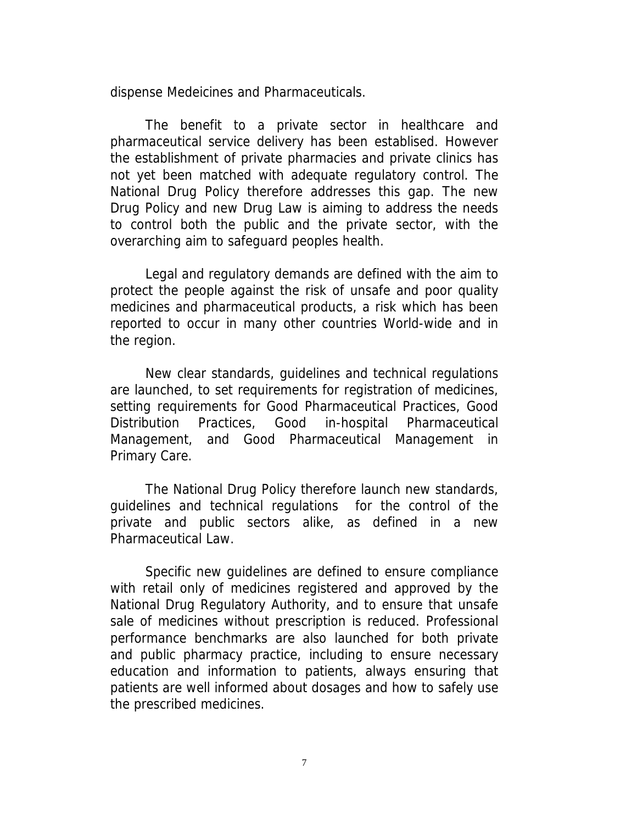dispense Medeicines and Pharmaceuticals.

The benefit to a private sector in healthcare and pharmaceutical service delivery has been establised. However the establishment of private pharmacies and private clinics has not yet been matched with adequate regulatory control. The National Drug Policy therefore addresses this gap. The new Drug Policy and new Drug Law is aiming to address the needs to control both the public and the private sector, with the overarching aim to safeguard peoples health.

Legal and regulatory demands are defined with the aim to protect the people against the risk of unsafe and poor quality medicines and pharmaceutical products, a risk which has been reported to occur in many other countries World-wide and in the region.

New clear standards, guidelines and technical regulations are launched, to set requirements for registration of medicines, setting requirements for Good Pharmaceutical Practices, Good Distribution Practices, Good in-hospital Pharmaceutical Management, and Good Pharmaceutical Management in Primary Care.

The National Drug Policy therefore launch new standards, guidelines and technical regulations for the control of the private and public sectors alike, as defined in a new Pharmaceutical Law.

Specific new guidelines are defined to ensure compliance with retail only of medicines registered and approved by the National Drug Regulatory Authority, and to ensure that unsafe sale of medicines without prescription is reduced. Professional performance benchmarks are also launched for both private and public pharmacy practice, including to ensure necessary education and information to patients, always ensuring that patients are well informed about dosages and how to safely use the prescribed medicines.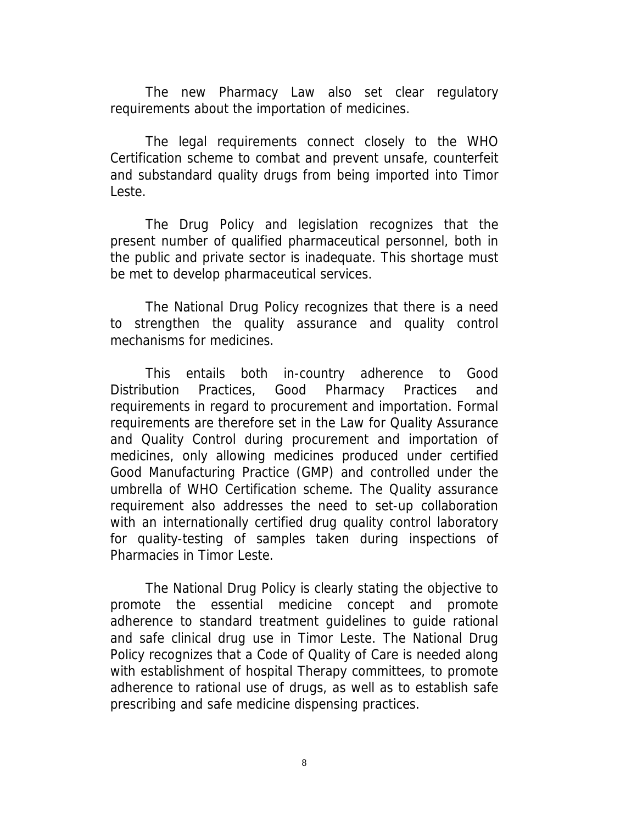The new Pharmacy Law also set clear regulatory requirements about the importation of medicines.

The legal requirements connect closely to the WHO Certification scheme to combat and prevent unsafe, counterfeit and substandard quality drugs from being imported into Timor Leste.

The Drug Policy and legislation recognizes that the present number of qualified pharmaceutical personnel, both in the public and private sector is inadequate. This shortage must be met to develop pharmaceutical services.

The National Drug Policy recognizes that there is a need to strengthen the quality assurance and quality control mechanisms for medicines.

This entails both in-country adherence to Good Distribution Practices, Good Pharmacy Practices and requirements in regard to procurement and importation. Formal requirements are therefore set in the Law for Quality Assurance and Quality Control during procurement and importation of medicines, only allowing medicines produced under certified Good Manufacturing Practice (GMP) and controlled under the umbrella of WHO Certification scheme. The Quality assurance requirement also addresses the need to set-up collaboration with an internationally certified drug quality control laboratory for quality-testing of samples taken during inspections of Pharmacies in Timor Leste.

The National Drug Policy is clearly stating the objective to promote the essential medicine concept and promote adherence to standard treatment guidelines to guide rational and safe clinical drug use in Timor Leste. The National Drug Policy recognizes that a Code of Quality of Care is needed along with establishment of hospital Therapy committees, to promote adherence to rational use of drugs, as well as to establish safe prescribing and safe medicine dispensing practices.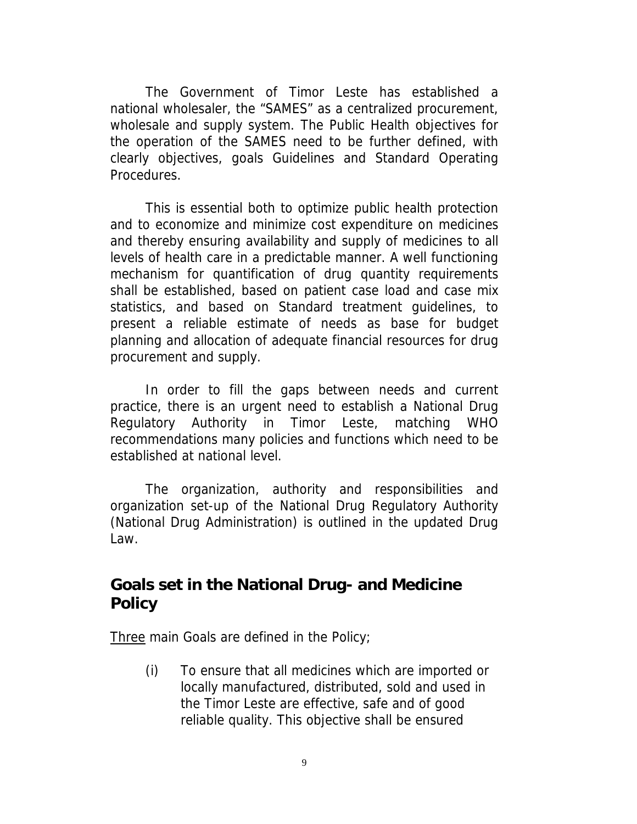The Government of Timor Leste has established a national wholesaler, the "SAMES" as a centralized procurement, wholesale and supply system. The Public Health objectives for the operation of the SAMES need to be further defined, with clearly objectives, goals Guidelines and Standard Operating Procedures.

This is essential both to optimize public health protection and to economize and minimize cost expenditure on medicines and thereby ensuring availability and supply of medicines to all levels of health care in a predictable manner. A well functioning mechanism for quantification of drug quantity requirements shall be established, based on patient case load and case mix statistics, and based on Standard treatment guidelines, to present a reliable estimate of needs as base for budget planning and allocation of adequate financial resources for drug procurement and supply.

In order to fill the gaps between needs and current practice, there is an urgent need to establish a National Drug Regulatory Authority in Timor Leste, matching WHO recommendations many policies and functions which need to be established at national level.

The organization, authority and responsibilities and organization set-up of the National Drug Regulatory Authority (National Drug Administration) is outlined in the updated Drug Law.

# **Goals set in the National Drug- and Medicine Policy**

Three main Goals are defined in the Policy;

(i) To ensure that all medicines which are imported or locally manufactured, distributed, sold and used in the Timor Leste are effective, safe and of good reliable quality. This objective shall be ensured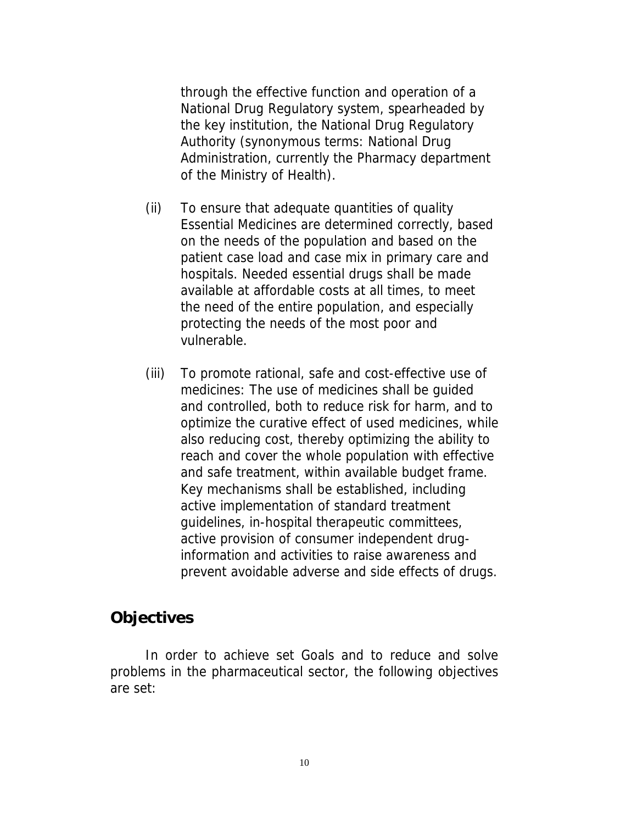through the effective function and operation of a National Drug Regulatory system, spearheaded by the key institution, the National Drug Regulatory Authority (synonymous terms: National Drug Administration, currently the Pharmacy department of the Ministry of Health).

- (ii) To ensure that adequate quantities of quality Essential Medicines are determined correctly, based on the needs of the population and based on the patient case load and case mix in primary care and hospitals. Needed essential drugs shall be made available at affordable costs at all times, to meet the need of the entire population, and especially protecting the needs of the most poor and vulnerable.
- (iii) To promote rational, safe and cost-effective use of medicines: The use of medicines shall be guided and controlled, both to reduce risk for harm, and to optimize the curative effect of used medicines, while also reducing cost, thereby optimizing the ability to reach and cover the whole population with effective and safe treatment, within available budget frame. Key mechanisms shall be established, including active implementation of standard treatment guidelines, in-hospital therapeutic committees, active provision of consumer independent druginformation and activities to raise awareness and prevent avoidable adverse and side effects of drugs.

## **Objectives**

In order to achieve set Goals and to reduce and solve problems in the pharmaceutical sector, the following objectives are set: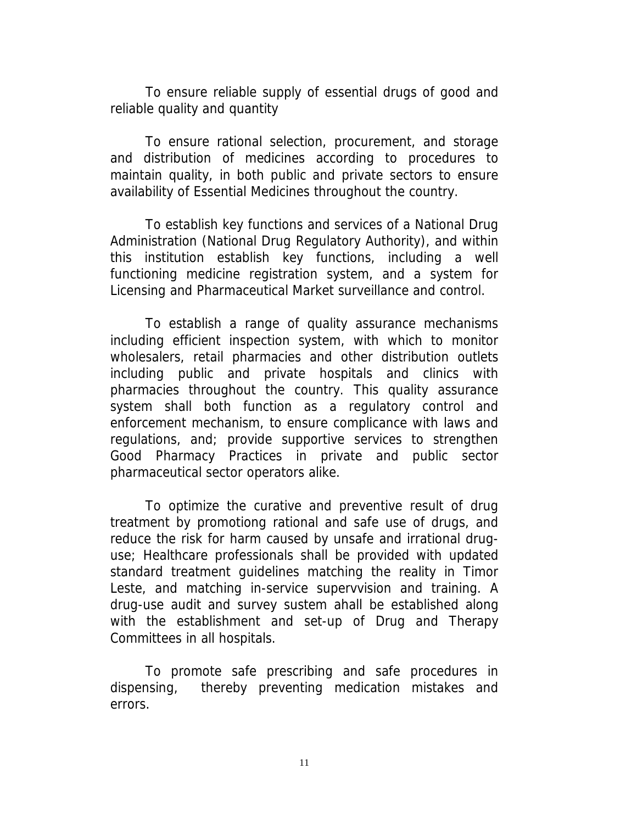To ensure reliable supply of essential drugs of good and reliable quality and quantity

To ensure rational selection, procurement, and storage and distribution of medicines according to procedures to maintain quality, in both public and private sectors to ensure availability of Essential Medicines throughout the country.

To establish key functions and services of a National Drug Administration (National Drug Regulatory Authority), and within this institution establish key functions, including a well functioning medicine registration system, and a system for Licensing and Pharmaceutical Market surveillance and control.

To establish a range of quality assurance mechanisms including efficient inspection system, with which to monitor wholesalers, retail pharmacies and other distribution outlets including public and private hospitals and clinics with pharmacies throughout the country. This quality assurance system shall both function as a regulatory control and enforcement mechanism, to ensure complicance with laws and regulations, and; provide supportive services to strengthen Good Pharmacy Practices in private and public sector pharmaceutical sector operators alike.

To optimize the curative and preventive result of drug treatment by promotiong rational and safe use of drugs, and reduce the risk for harm caused by unsafe and irrational druguse; Healthcare professionals shall be provided with updated standard treatment guidelines matching the reality in Timor Leste, and matching in-service supervvision and training. A drug-use audit and survey sustem ahall be established along with the establishment and set-up of Drug and Therapy Committees in all hospitals.

To promote safe prescribing and safe procedures in dispensing, thereby preventing medication mistakes and errors.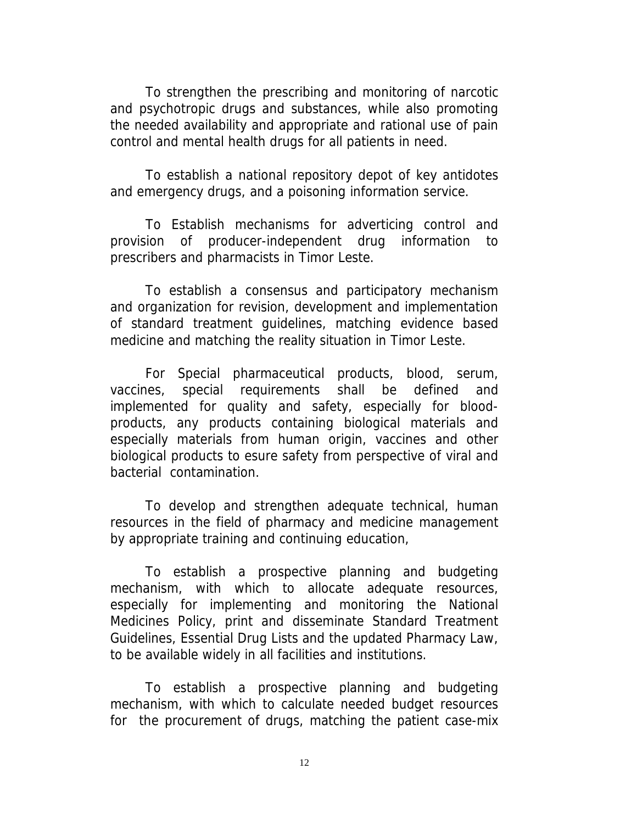To strengthen the prescribing and monitoring of narcotic and psychotropic drugs and substances, while also promoting the needed availability and appropriate and rational use of pain control and mental health drugs for all patients in need.

To establish a national repository depot of key antidotes and emergency drugs, and a poisoning information service.

To Establish mechanisms for adverticing control and provision of producer-independent drug information to prescribers and pharmacists in Timor Leste.

To establish a consensus and participatory mechanism and organization for revision, development and implementation of standard treatment guidelines, matching evidence based medicine and matching the reality situation in Timor Leste.

For Special pharmaceutical products, blood, serum, vaccines, special requirements shall be defined and implemented for quality and safety, especially for bloodproducts, any products containing biological materials and especially materials from human origin, vaccines and other biological products to esure safety from perspective of viral and bacterial contamination.

To develop and strengthen adequate technical, human resources in the field of pharmacy and medicine management by appropriate training and continuing education,

To establish a prospective planning and budgeting mechanism, with which to allocate adequate resources, especially for implementing and monitoring the National Medicines Policy, print and disseminate Standard Treatment Guidelines, Essential Drug Lists and the updated Pharmacy Law, to be available widely in all facilities and institutions.

To establish a prospective planning and budgeting mechanism, with which to calculate needed budget resources for the procurement of drugs, matching the patient case-mix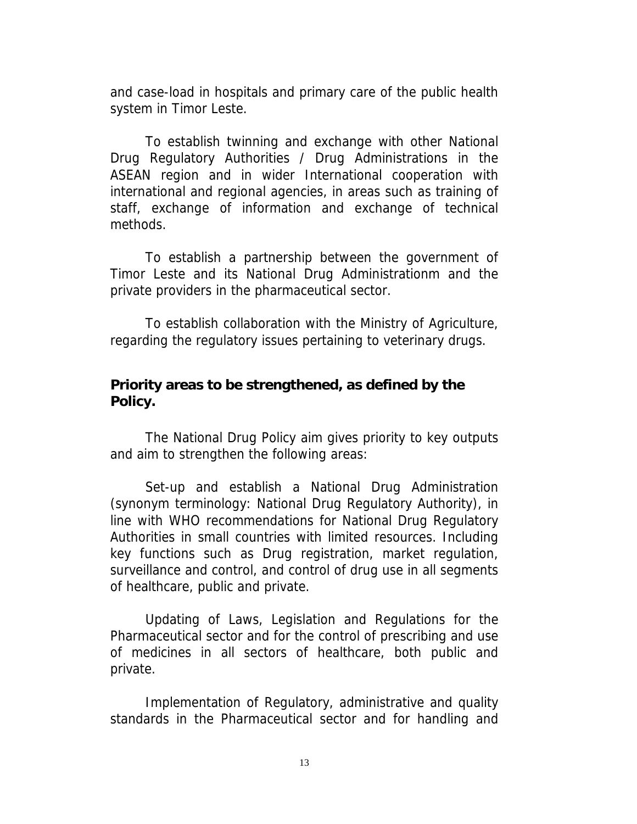and case-load in hospitals and primary care of the public health system in Timor Leste.

To establish twinning and exchange with other National Drug Regulatory Authorities / Drug Administrations in the ASEAN region and in wider International cooperation with international and regional agencies, in areas such as training of staff, exchange of information and exchange of technical methods.

To establish a partnership between the government of Timor Leste and its National Drug Administrationm and the private providers in the pharmaceutical sector.

To establish collaboration with the Ministry of Agriculture, regarding the regulatory issues pertaining to veterinary drugs.

#### **Priority areas to be strengthened, as defined by the Policy.**

The National Drug Policy aim gives priority to key outputs and aim to strengthen the following areas:

Set-up and establish a National Drug Administration (synonym terminology: National Drug Regulatory Authority), in line with WHO recommendations for National Drug Regulatory Authorities in small countries with limited resources. Including key functions such as Drug registration, market regulation, surveillance and control, and control of drug use in all segments of healthcare, public and private.

Updating of Laws, Legislation and Regulations for the Pharmaceutical sector and for the control of prescribing and use of medicines in all sectors of healthcare, both public and private.

Implementation of Regulatory, administrative and quality standards in the Pharmaceutical sector and for handling and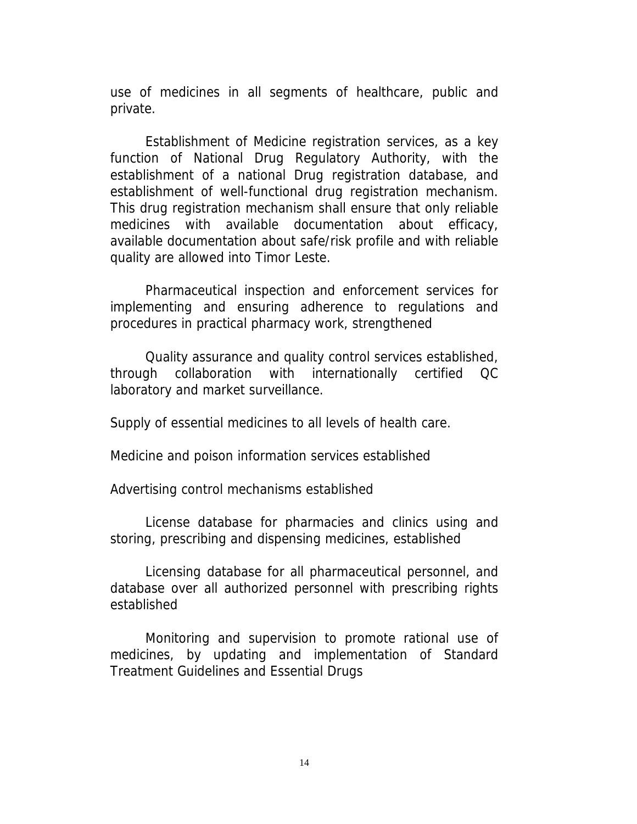use of medicines in all segments of healthcare, public and private.

Establishment of Medicine registration services, as a key function of National Drug Regulatory Authority, with the establishment of a national Drug registration database, and establishment of well-functional drug registration mechanism. This drug registration mechanism shall ensure that only reliable medicines with available documentation about efficacy, available documentation about safe/risk profile and with reliable quality are allowed into Timor Leste.

Pharmaceutical inspection and enforcement services for implementing and ensuring adherence to regulations and procedures in practical pharmacy work, strengthened

Quality assurance and quality control services established, through collaboration with internationally certified QC laboratory and market surveillance.

Supply of essential medicines to all levels of health care.

Medicine and poison information services established

Advertising control mechanisms established

License database for pharmacies and clinics using and storing, prescribing and dispensing medicines, established

Licensing database for all pharmaceutical personnel, and database over all authorized personnel with prescribing rights established

Monitoring and supervision to promote rational use of medicines, by updating and implementation of Standard Treatment Guidelines and Essential Drugs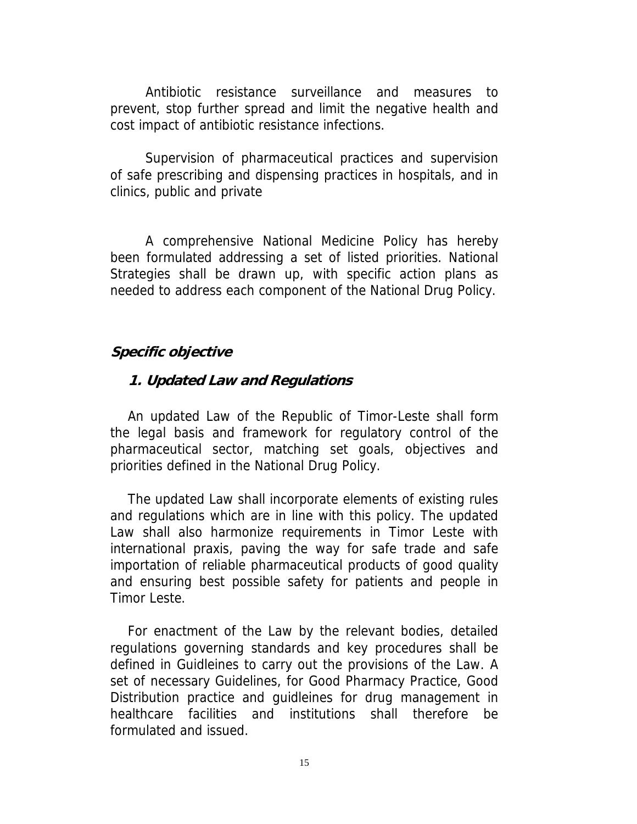Antibiotic resistance surveillance and measures to prevent, stop further spread and limit the negative health and cost impact of antibiotic resistance infections.

Supervision of pharmaceutical practices and supervision of safe prescribing and dispensing practices in hospitals, and in clinics, public and private

A comprehensive National Medicine Policy has hereby been formulated addressing a set of listed priorities. National Strategies shall be drawn up, with specific action plans as needed to address each component of the National Drug Policy.

#### **Specific objective**

#### **1. Updated Law and Regulations**

An updated Law of the Republic of Timor-Leste shall form the legal basis and framework for regulatory control of the pharmaceutical sector, matching set goals, objectives and priorities defined in the National Drug Policy.

The updated Law shall incorporate elements of existing rules and regulations which are in line with this policy. The updated Law shall also harmonize requirements in Timor Leste with international praxis, paving the way for safe trade and safe importation of reliable pharmaceutical products of good quality and ensuring best possible safety for patients and people in Timor Leste.

For enactment of the Law by the relevant bodies, detailed regulations governing standards and key procedures shall be defined in Guidleines to carry out the provisions of the Law. A set of necessary Guidelines, for Good Pharmacy Practice, Good Distribution practice and guidleines for drug management in healthcare facilities and institutions shall therefore be formulated and issued.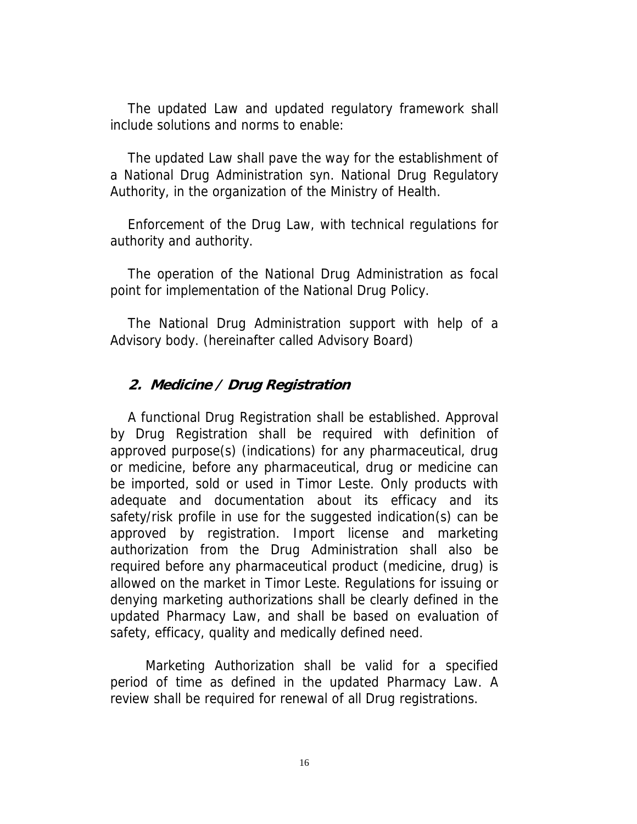The updated Law and updated regulatory framework shall include solutions and norms to enable:

The updated Law shall pave the way for the establishment of a National Drug Administration syn. National Drug Regulatory Authority, in the organization of the Ministry of Health.

Enforcement of the Drug Law, with technical regulations for authority and authority.

The operation of the National Drug Administration as focal point for implementation of the National Drug Policy.

The National Drug Administration support with help of a Advisory body. (hereinafter called Advisory Board)

#### **2. Medicine / Drug Registration**

A functional Drug Registration shall be established. Approval by Drug Registration shall be required with definition of approved purpose(s) (indications) for any pharmaceutical, drug or medicine, before any pharmaceutical, drug or medicine can be imported, sold or used in Timor Leste. Only products with adequate and documentation about its efficacy and its safety/risk profile in use for the suggested indication(s) can be approved by registration. Import license and marketing authorization from the Drug Administration shall also be required before any pharmaceutical product (medicine, drug) is allowed on the market in Timor Leste. Regulations for issuing or denying marketing authorizations shall be clearly defined in the updated Pharmacy Law, and shall be based on evaluation of safety, efficacy, quality and medically defined need.

Marketing Authorization shall be valid for a specified period of time as defined in the updated Pharmacy Law. A review shall be required for renewal of all Drug registrations.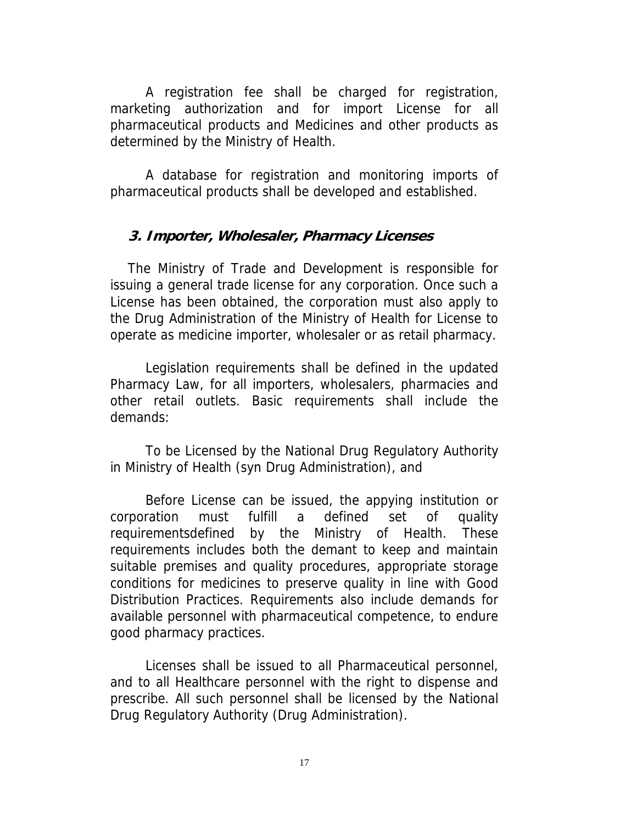A registration fee shall be charged for registration, marketing authorization and for import License for all pharmaceutical products and Medicines and other products as determined by the Ministry of Health.

A database for registration and monitoring imports of pharmaceutical products shall be developed and established.

#### **3. Importer, Wholesaler, Pharmacy Licenses**

The Ministry of Trade and Development is responsible for issuing a general trade license for any corporation. Once such a License has been obtained, the corporation must also apply to the Drug Administration of the Ministry of Health for License to operate as medicine importer, wholesaler or as retail pharmacy.

Legislation requirements shall be defined in the updated Pharmacy Law, for all importers, wholesalers, pharmacies and other retail outlets. Basic requirements shall include the demands:

To be Licensed by the National Drug Regulatory Authority in Ministry of Health (syn Drug Administration), and

Before License can be issued, the appying institution or corporation must fulfill a defined set of quality requirementsdefined by the Ministry of Health. These requirements includes both the demant to keep and maintain suitable premises and quality procedures, appropriate storage conditions for medicines to preserve quality in line with Good Distribution Practices. Requirements also include demands for available personnel with pharmaceutical competence, to endure good pharmacy practices.

Licenses shall be issued to all Pharmaceutical personnel, and to all Healthcare personnel with the right to dispense and prescribe. All such personnel shall be licensed by the National Drug Regulatory Authority (Drug Administration).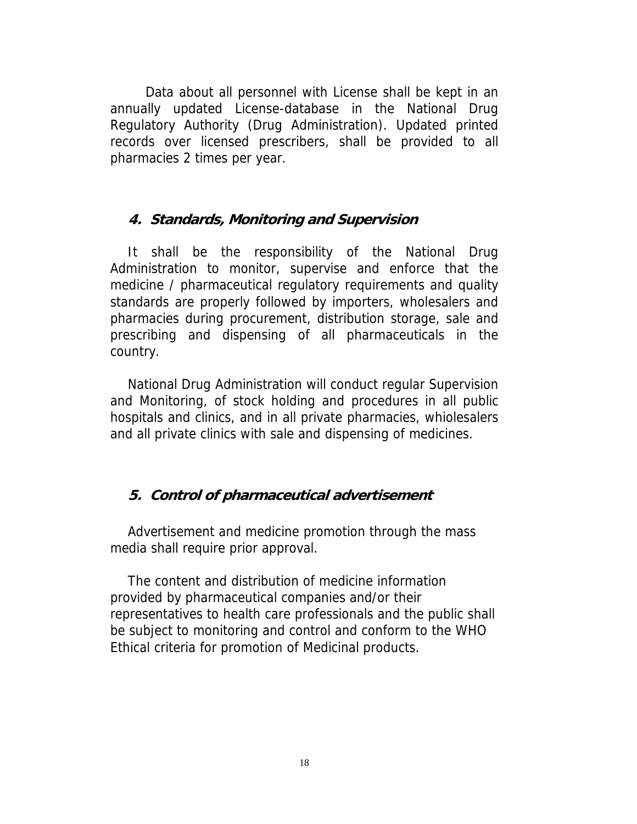Data about all personnel with License shall be kept in an annually updated License-database in the National Drug Regulatory Authority (Drug Administration). Updated printed records over licensed prescribers, shall be provided to all pharmacies 2 times per year.

#### **4. Standards, Monitoring and Supervision**

It shall be the responsibility of the National Drug Administration to monitor, supervise and enforce that the medicine / pharmaceutical regulatory requirements and quality standards are properly followed by importers, wholesalers and pharmacies during procurement, distribution storage, sale and prescribing and dispensing of all pharmaceuticals in the country.

National Drug Administration will conduct regular Supervision and Monitoring, of stock holding and procedures in all public hospitals and clinics, and in all private pharmacies, whiolesalers and all private clinics with sale and dispensing of medicines.

#### **5. Control of pharmaceutical advertisement**

Advertisement and medicine promotion through the mass media shall require prior approval.

The content and distribution of medicine information provided by pharmaceutical companies and/or their representatives to health care professionals and the public shall be subject to monitoring and control and conform to the WHO Ethical criteria for promotion of Medicinal products.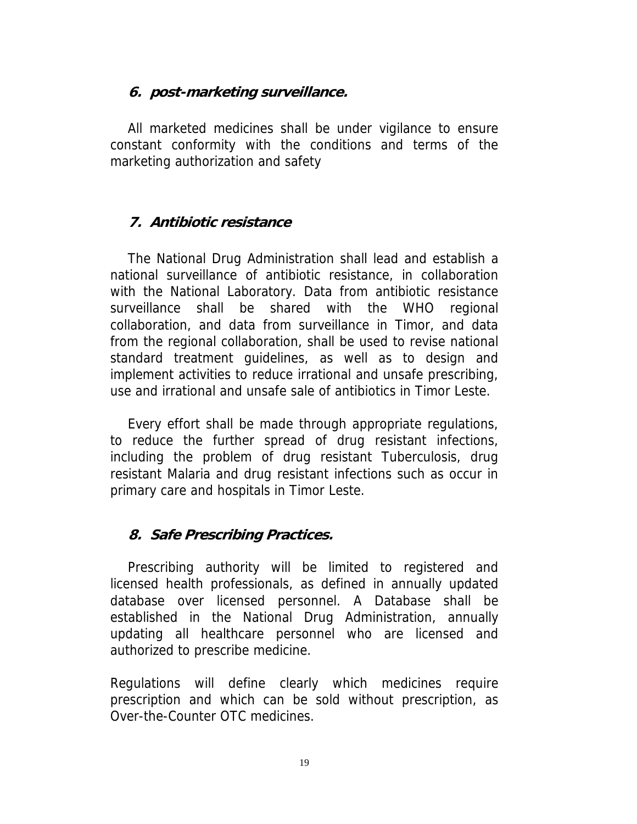#### **6. post-marketing surveillance.**

All marketed medicines shall be under vigilance to ensure constant conformity with the conditions and terms of the marketing authorization and safety

## **7. Antibiotic resistance**

The National Drug Administration shall lead and establish a national surveillance of antibiotic resistance, in collaboration with the National Laboratory. Data from antibiotic resistance surveillance shall be shared with the WHO regional collaboration, and data from surveillance in Timor, and data from the regional collaboration, shall be used to revise national standard treatment guidelines, as well as to design and implement activities to reduce irrational and unsafe prescribing, use and irrational and unsafe sale of antibiotics in Timor Leste.

Every effort shall be made through appropriate regulations, to reduce the further spread of drug resistant infections, including the problem of drug resistant Tuberculosis, drug resistant Malaria and drug resistant infections such as occur in primary care and hospitals in Timor Leste.

#### **8. Safe Prescribing Practices.**

Prescribing authority will be limited to registered and licensed health professionals, as defined in annually updated database over licensed personnel. A Database shall be established in the National Drug Administration, annually updating all healthcare personnel who are licensed and authorized to prescribe medicine.

Regulations will define clearly which medicines require prescription and which can be sold without prescription, as Over-the-Counter OTC medicines.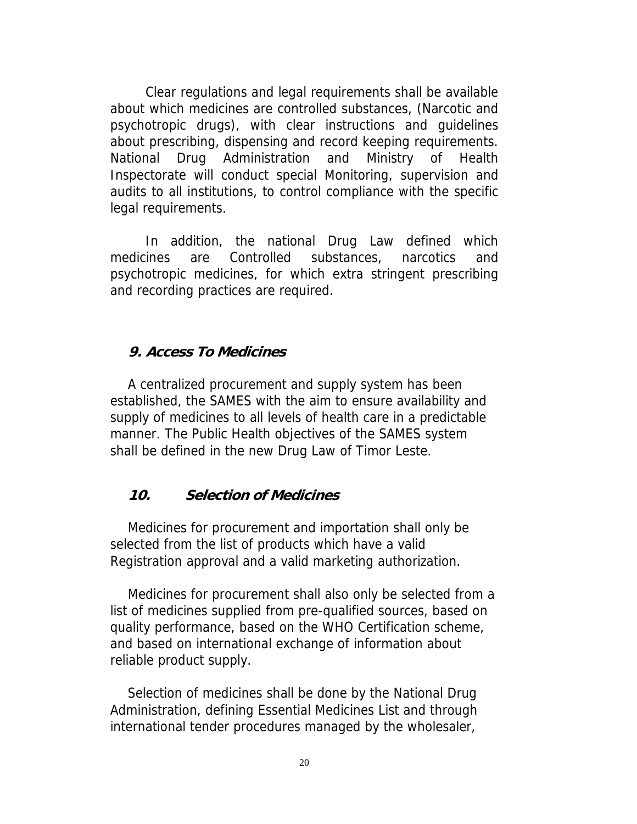Clear regulations and legal requirements shall be available about which medicines are controlled substances, (Narcotic and psychotropic drugs), with clear instructions and guidelines about prescribing, dispensing and record keeping requirements. National Drug Administration and Ministry of Health Inspectorate will conduct special Monitoring, supervision and audits to all institutions, to control compliance with the specific legal requirements.

In addition, the national Drug Law defined which medicines are Controlled substances, narcotics and psychotropic medicines, for which extra stringent prescribing and recording practices are required.

#### **9. Access To Medicines**

A centralized procurement and supply system has been established, the SAMES with the aim to ensure availability and supply of medicines to all levels of health care in a predictable manner. The Public Health objectives of the SAMES system shall be defined in the new Drug Law of Timor Leste.

#### **10. Selection of Medicines**

Medicines for procurement and importation shall only be selected from the list of products which have a valid Registration approval and a valid marketing authorization.

Medicines for procurement shall also only be selected from a list of medicines supplied from pre-qualified sources, based on quality performance, based on the WHO Certification scheme, and based on international exchange of information about reliable product supply.

Selection of medicines shall be done by the National Drug Administration, defining Essential Medicines List and through international tender procedures managed by the wholesaler,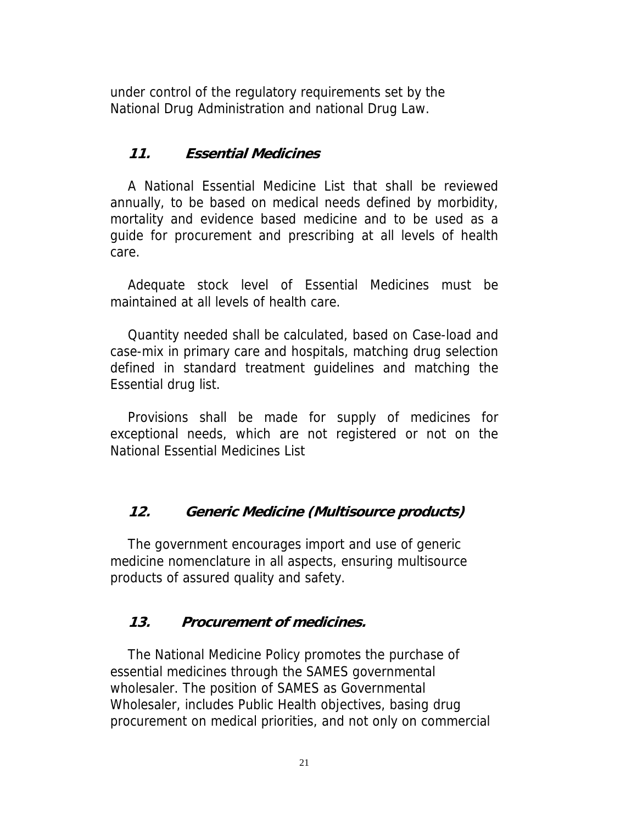under control of the regulatory requirements set by the National Drug Administration and national Drug Law.

## **11. Essential Medicines**

A National Essential Medicine List that shall be reviewed annually, to be based on medical needs defined by morbidity, mortality and evidence based medicine and to be used as a guide for procurement and prescribing at all levels of health care.

Adequate stock level of Essential Medicines must be maintained at all levels of health care.

Quantity needed shall be calculated, based on Case-load and case-mix in primary care and hospitals, matching drug selection defined in standard treatment guidelines and matching the Essential drug list.

Provisions shall be made for supply of medicines for exceptional needs, which are not registered or not on the National Essential Medicines List

## **12. Generic Medicine (Multisource products)**

The government encourages import and use of generic medicine nomenclature in all aspects, ensuring multisource products of assured quality and safety.

#### **13. Procurement of medicines.**

The National Medicine Policy promotes the purchase of essential medicines through the SAMES governmental wholesaler. The position of SAMES as Governmental Wholesaler, includes Public Health objectives, basing drug procurement on medical priorities, and not only on commercial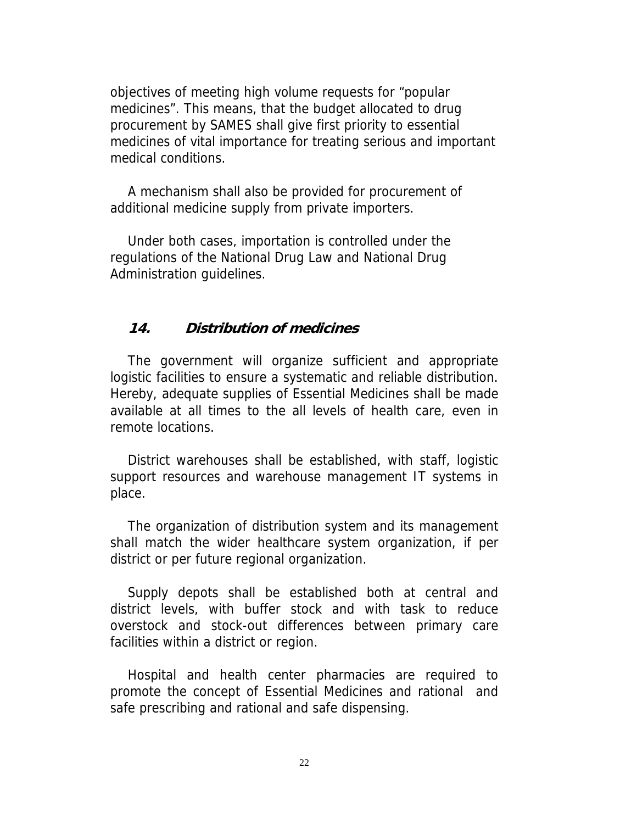objectives of meeting high volume requests for "popular medicines". This means, that the budget allocated to drug procurement by SAMES shall give first priority to essential medicines of vital importance for treating serious and important medical conditions.

A mechanism shall also be provided for procurement of additional medicine supply from private importers.

Under both cases, importation is controlled under the regulations of the National Drug Law and National Drug Administration guidelines.

#### **14. Distribution of medicines**

The government will organize sufficient and appropriate logistic facilities to ensure a systematic and reliable distribution. Hereby, adequate supplies of Essential Medicines shall be made available at all times to the all levels of health care, even in remote locations.

District warehouses shall be established, with staff, logistic support resources and warehouse management IT systems in place.

The organization of distribution system and its management shall match the wider healthcare system organization, if per district or per future regional organization.

Supply depots shall be established both at central and district levels, with buffer stock and with task to reduce overstock and stock-out differences between primary care facilities within a district or region.

Hospital and health center pharmacies are required to promote the concept of Essential Medicines and rational and safe prescribing and rational and safe dispensing.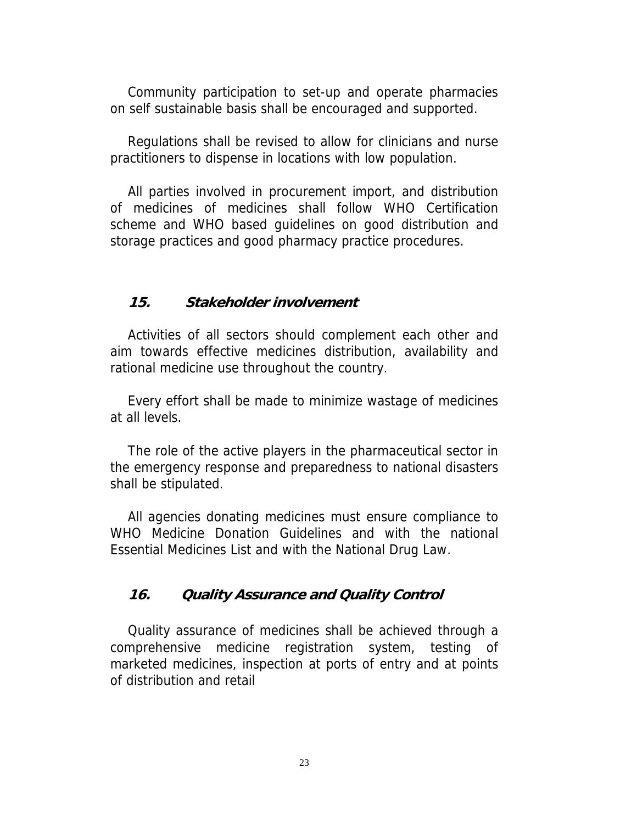Community participation to set-up and operate pharmacies on self sustainable basis shall be encouraged and supported.

Regulations shall be revised to allow for clinicians and nurse practitioners to dispense in locations with low population.

All parties involved in procurement import, and distribution of medicines of medicines shall follow WHO Certification scheme and WHO based guidelines on good distribution and storage practices and good pharmacy practice procedures.

#### **15. Stakeholder involvement**

Activities of all sectors should complement each other and aim towards effective medicines distribution, availability and rational medicine use throughout the country.

Every effort shall be made to minimize wastage of medicines at all levels.

The role of the active players in the pharmaceutical sector in the emergency response and preparedness to national disasters shall be stipulated.

All agencies donating medicines must ensure compliance to WHO Medicine Donation Guidelines and with the national Essential Medicines List and with the National Drug Law.

#### **16. Quality Assurance and Quality Control**

Quality assurance of medicines shall be achieved through a comprehensive medicine registration system, testing of marketed medicines, inspection at ports of entry and at points of distribution and retail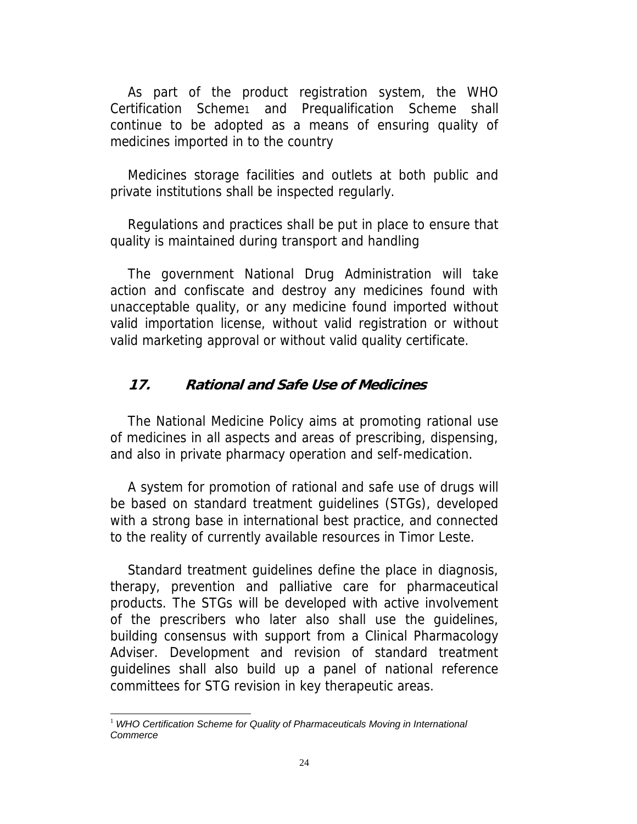As part of the product registration system, the WHO Certification Scheme1 and Prequalification Scheme shall continue to be adopted as a means of ensuring quality of medicines imported in to the country

Medicines storage facilities and outlets at both public and private institutions shall be inspected regularly.

Regulations and practices shall be put in place to ensure that quality is maintained during transport and handling

The government National Drug Administration will take action and confiscate and destroy any medicines found with unacceptable quality, or any medicine found imported without valid importation license, without valid registration or without valid marketing approval or without valid quality certificate.

#### **17. Rational and Safe Use of Medicines**

The National Medicine Policy aims at promoting rational use of medicines in all aspects and areas of prescribing, dispensing, and also in private pharmacy operation and self-medication.

A system for promotion of rational and safe use of drugs will be based on standard treatment guidelines (STGs), developed with a strong base in international best practice, and connected to the reality of currently available resources in Timor Leste.

Standard treatment guidelines define the place in diagnosis, therapy, prevention and palliative care for pharmaceutical products. The STGs will be developed with active involvement of the prescribers who later also shall use the guidelines, building consensus with support from a Clinical Pharmacology Adviser. Development and revision of standard treatment guidelines shall also build up a panel of national reference committees for STG revision in key therapeutic areas.

1

<sup>&</sup>lt;sup>1</sup> WHO Certification Scheme for Quality of Pharmaceuticals Moving in International *Commerce*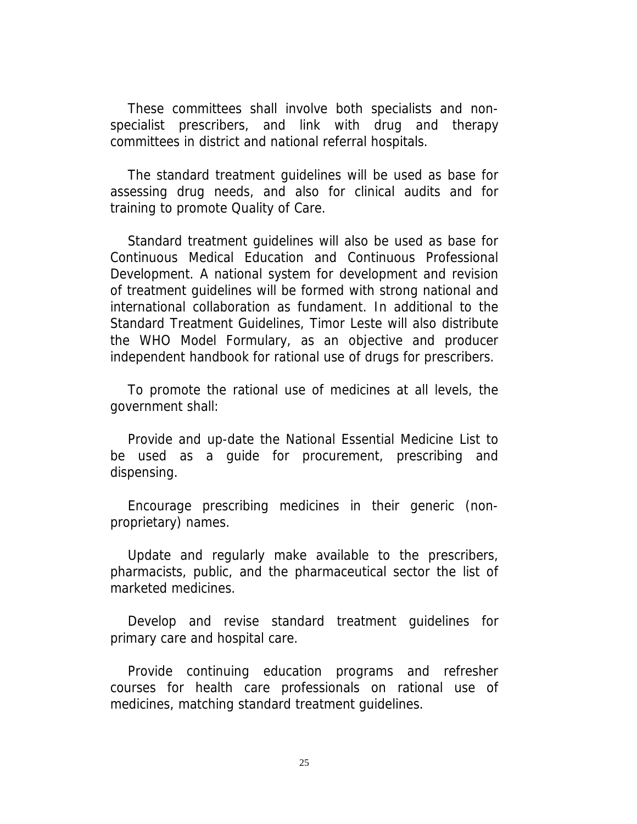These committees shall involve both specialists and nonspecialist prescribers, and link with drug and therapy committees in district and national referral hospitals.

The standard treatment guidelines will be used as base for assessing drug needs, and also for clinical audits and for training to promote Quality of Care.

Standard treatment guidelines will also be used as base for Continuous Medical Education and Continuous Professional Development. A national system for development and revision of treatment guidelines will be formed with strong national and international collaboration as fundament. In additional to the Standard Treatment Guidelines, Timor Leste will also distribute the WHO Model Formulary, as an objective and producer independent handbook for rational use of drugs for prescribers.

To promote the rational use of medicines at all levels, the government shall:

Provide and up-date the National Essential Medicine List to be used as a guide for procurement, prescribing and dispensing.

Encourage prescribing medicines in their generic (nonproprietary) names.

Update and regularly make available to the prescribers, pharmacists, public, and the pharmaceutical sector the list of marketed medicines.

Develop and revise standard treatment guidelines for primary care and hospital care.

Provide continuing education programs and refresher courses for health care professionals on rational use of medicines, matching standard treatment guidelines.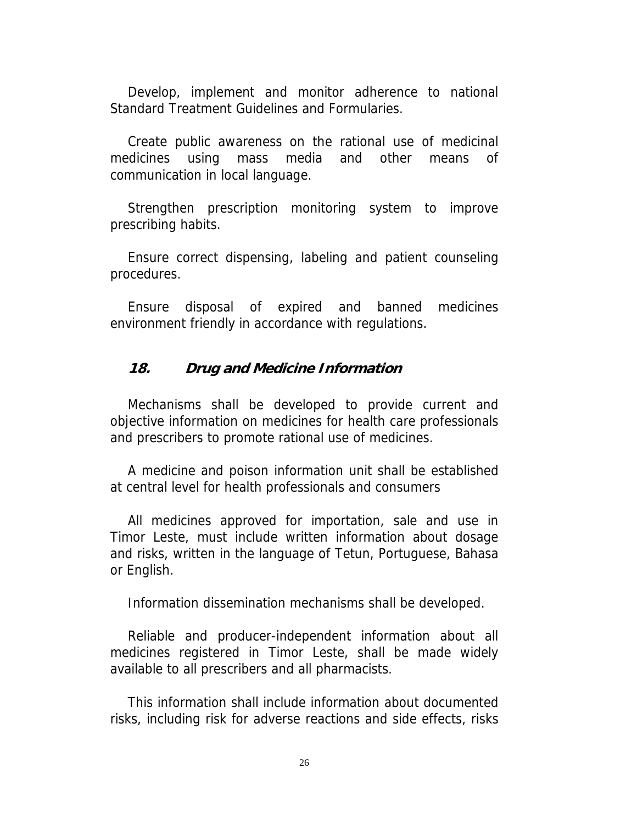Develop, implement and monitor adherence to national Standard Treatment Guidelines and Formularies.

Create public awareness on the rational use of medicinal medicines using mass media and other means of communication in local language.

Strengthen prescription monitoring system to improve prescribing habits.

Ensure correct dispensing, labeling and patient counseling procedures.

Ensure disposal of expired and banned medicines environment friendly in accordance with regulations.

#### **18. Drug and Medicine Information**

Mechanisms shall be developed to provide current and objective information on medicines for health care professionals and prescribers to promote rational use of medicines.

A medicine and poison information unit shall be established at central level for health professionals and consumers

All medicines approved for importation, sale and use in Timor Leste, must include written information about dosage and risks, written in the language of Tetun, Portuguese, Bahasa or English.

Information dissemination mechanisms shall be developed.

Reliable and producer-independent information about all medicines registered in Timor Leste, shall be made widely available to all prescribers and all pharmacists.

This information shall include information about documented risks, including risk for adverse reactions and side effects, risks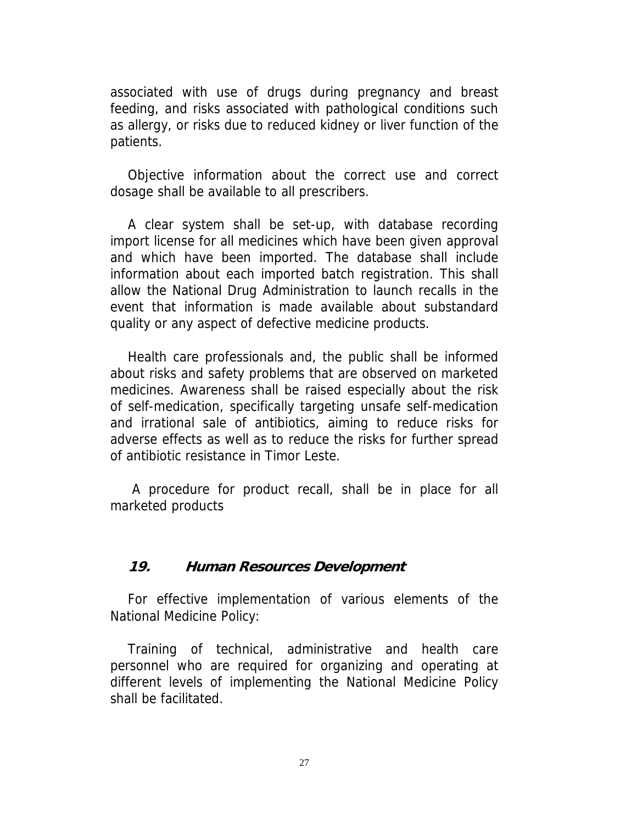associated with use of drugs during pregnancy and breast feeding, and risks associated with pathological conditions such as allergy, or risks due to reduced kidney or liver function of the patients.

Objective information about the correct use and correct dosage shall be available to all prescribers.

A clear system shall be set-up, with database recording import license for all medicines which have been given approval and which have been imported. The database shall include information about each imported batch registration. This shall allow the National Drug Administration to launch recalls in the event that information is made available about substandard quality or any aspect of defective medicine products.

Health care professionals and, the public shall be informed about risks and safety problems that are observed on marketed medicines. Awareness shall be raised especially about the risk of self-medication, specifically targeting unsafe self-medication and irrational sale of antibiotics, aiming to reduce risks for adverse effects as well as to reduce the risks for further spread of antibiotic resistance in Timor Leste.

 A procedure for product recall, shall be in place for all marketed products

#### **19. Human Resources Development**

For effective implementation of various elements of the National Medicine Policy:

Training of technical, administrative and health care personnel who are required for organizing and operating at different levels of implementing the National Medicine Policy shall be facilitated.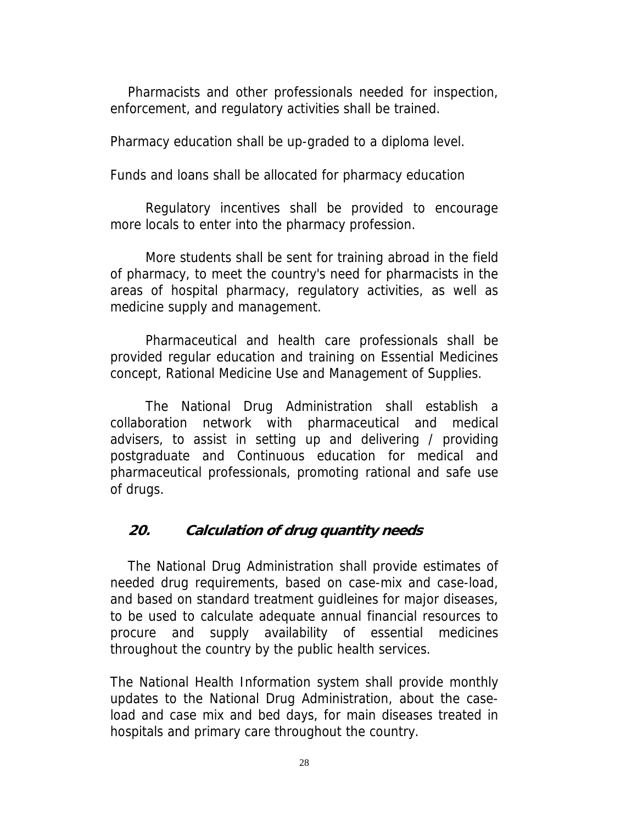Pharmacists and other professionals needed for inspection, enforcement, and regulatory activities shall be trained.

Pharmacy education shall be up-graded to a diploma level.

Funds and loans shall be allocated for pharmacy education

Regulatory incentives shall be provided to encourage more locals to enter into the pharmacy profession.

More students shall be sent for training abroad in the field of pharmacy, to meet the country's need for pharmacists in the areas of hospital pharmacy, regulatory activities, as well as medicine supply and management.

Pharmaceutical and health care professionals shall be provided regular education and training on Essential Medicines concept, Rational Medicine Use and Management of Supplies.

The National Drug Administration shall establish a collaboration network with pharmaceutical and medical advisers, to assist in setting up and delivering / providing postgraduate and Continuous education for medical and pharmaceutical professionals, promoting rational and safe use of drugs.

## **20. Calculation of drug quantity needs**

The National Drug Administration shall provide estimates of needed drug requirements, based on case-mix and case-load, and based on standard treatment guidleines for major diseases, to be used to calculate adequate annual financial resources to procure and supply availability of essential medicines throughout the country by the public health services.

The National Health Information system shall provide monthly updates to the National Drug Administration, about the caseload and case mix and bed days, for main diseases treated in hospitals and primary care throughout the country.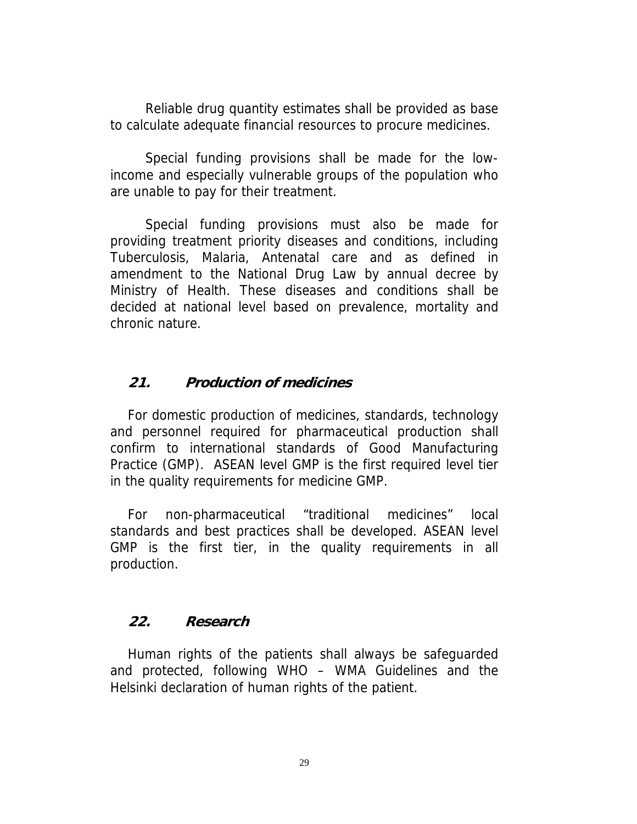Reliable drug quantity estimates shall be provided as base to calculate adequate financial resources to procure medicines.

Special funding provisions shall be made for the lowincome and especially vulnerable groups of the population who are unable to pay for their treatment.

Special funding provisions must also be made for providing treatment priority diseases and conditions, including Tuberculosis, Malaria, Antenatal care and as defined in amendment to the National Drug Law by annual decree by Ministry of Health. These diseases and conditions shall be decided at national level based on prevalence, mortality and chronic nature.

## **21. Production of medicines**

For domestic production of medicines, standards, technology and personnel required for pharmaceutical production shall confirm to international standards of Good Manufacturing Practice (GMP). ASEAN level GMP is the first required level tier in the quality requirements for medicine GMP.

For non-pharmaceutical "traditional medicines" local standards and best practices shall be developed. ASEAN level GMP is the first tier, in the quality requirements in all production.

## **22. Research**

Human rights of the patients shall always be safeguarded and protected, following WHO – WMA Guidelines and the Helsinki declaration of human rights of the patient.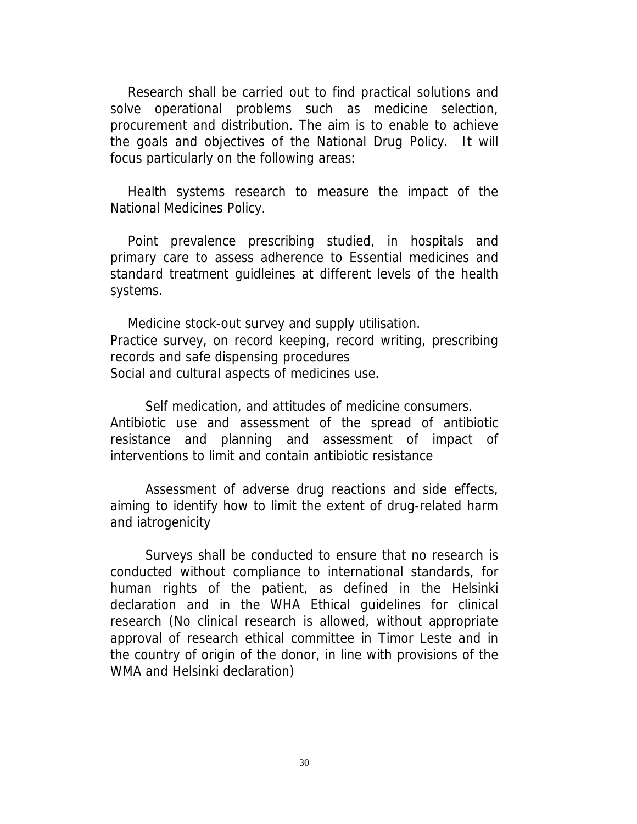Research shall be carried out to find practical solutions and solve operational problems such as medicine selection, procurement and distribution. The aim is to enable to achieve the goals and objectives of the National Drug Policy. It will focus particularly on the following areas:

Health systems research to measure the impact of the National Medicines Policy.

Point prevalence prescribing studied, in hospitals and primary care to assess adherence to Essential medicines and standard treatment guidleines at different levels of the health systems.

Medicine stock-out survey and supply utilisation. Practice survey, on record keeping, record writing, prescribing records and safe dispensing procedures Social and cultural aspects of medicines use.

Self medication, and attitudes of medicine consumers. Antibiotic use and assessment of the spread of antibiotic resistance and planning and assessment of impact of interventions to limit and contain antibiotic resistance

Assessment of adverse drug reactions and side effects, aiming to identify how to limit the extent of drug-related harm and iatrogenicity

Surveys shall be conducted to ensure that no research is conducted without compliance to international standards, for human rights of the patient, as defined in the Helsinki declaration and in the WHA Ethical guidelines for clinical research (No clinical research is allowed, without appropriate approval of research ethical committee in Timor Leste and in the country of origin of the donor, in line with provisions of the WMA and Helsinki declaration)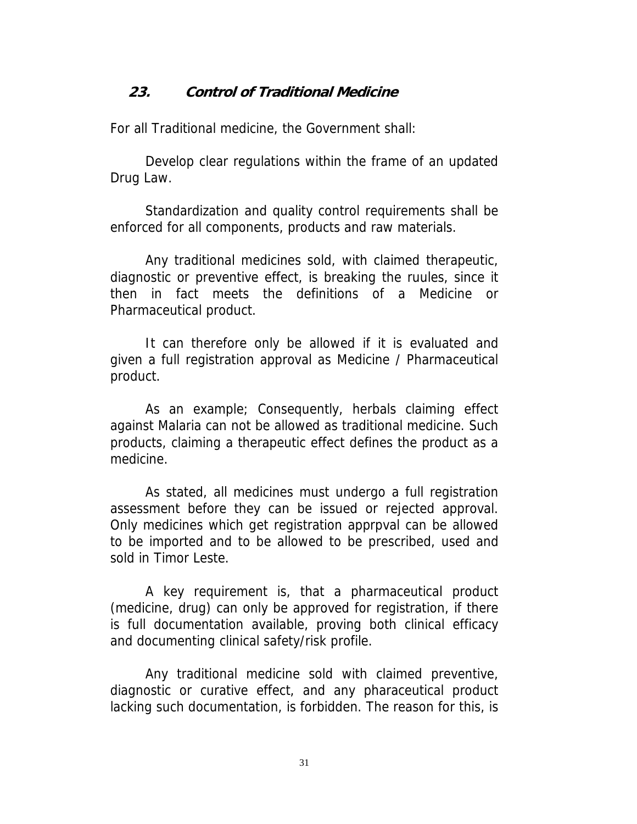## **23. Control of Traditional Medicine**

For all Traditional medicine, the Government shall:

Develop clear regulations within the frame of an updated Drug Law.

Standardization and quality control requirements shall be enforced for all components, products and raw materials.

Any traditional medicines sold, with claimed therapeutic, diagnostic or preventive effect, is breaking the ruules, since it then in fact meets the definitions of a Medicine or Pharmaceutical product.

It can therefore only be allowed if it is evaluated and given a full registration approval as Medicine / Pharmaceutical product.

As an example; Consequently, herbals claiming effect against Malaria can not be allowed as traditional medicine. Such products, claiming a therapeutic effect defines the product as a medicine.

As stated, all medicines must undergo a full registration assessment before they can be issued or rejected approval. Only medicines which get registration apprpval can be allowed to be imported and to be allowed to be prescribed, used and sold in Timor Leste.

A key requirement is, that a pharmaceutical product (medicine, drug) can only be approved for registration, if there is full documentation available, proving both clinical efficacy and documenting clinical safety/risk profile.

Any traditional medicine sold with claimed preventive, diagnostic or curative effect, and any pharaceutical product lacking such documentation, is forbidden. The reason for this, is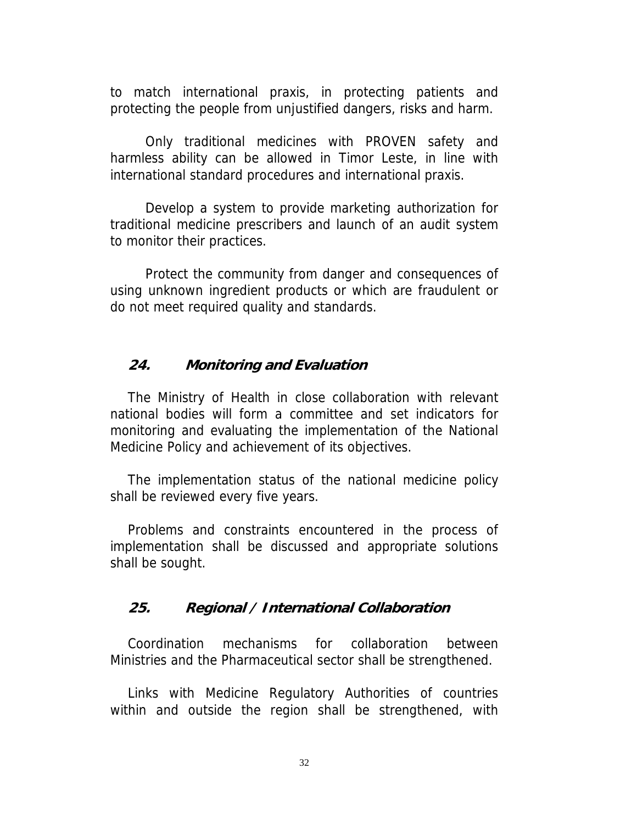to match international praxis, in protecting patients and protecting the people from unjustified dangers, risks and harm.

Only traditional medicines with PROVEN safety and harmless ability can be allowed in Timor Leste, in line with international standard procedures and international praxis.

Develop a system to provide marketing authorization for traditional medicine prescribers and launch of an audit system to monitor their practices.

Protect the community from danger and consequences of using unknown ingredient products or which are fraudulent or do not meet required quality and standards.

#### **24. Monitoring and Evaluation**

The Ministry of Health in close collaboration with relevant national bodies will form a committee and set indicators for monitoring and evaluating the implementation of the National Medicine Policy and achievement of its objectives.

The implementation status of the national medicine policy shall be reviewed every five years.

Problems and constraints encountered in the process of implementation shall be discussed and appropriate solutions shall be sought.

#### **25. Regional / International Collaboration**

Coordination mechanisms for collaboration between Ministries and the Pharmaceutical sector shall be strengthened.

Links with Medicine Regulatory Authorities of countries within and outside the region shall be strengthened, with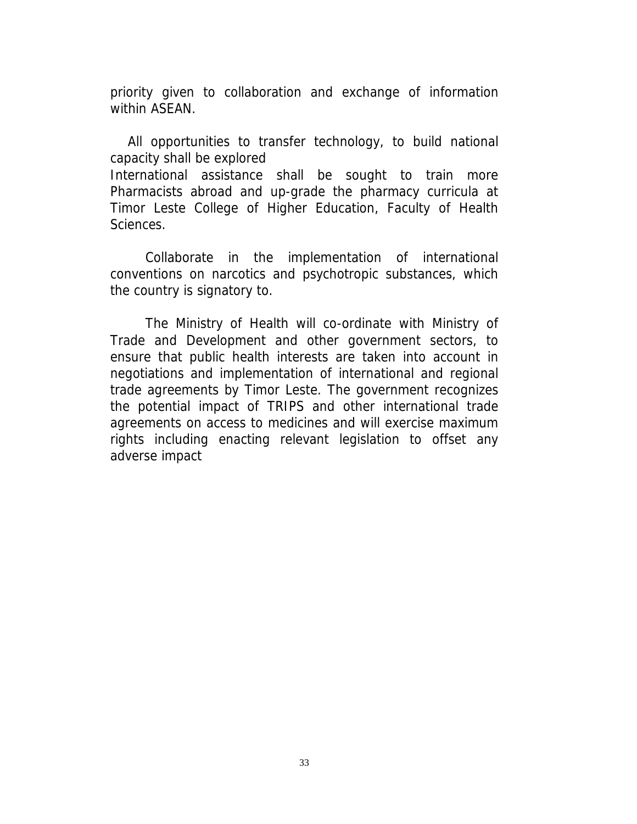priority given to collaboration and exchange of information within ASEAN.

All opportunities to transfer technology, to build national capacity shall be explored International assistance shall be sought to train more Pharmacists abroad and up-grade the pharmacy curricula at Timor Leste College of Higher Education, Faculty of Health Sciences.

Collaborate in the implementation of international conventions on narcotics and psychotropic substances, which the country is signatory to.

The Ministry of Health will co-ordinate with Ministry of Trade and Development and other government sectors, to ensure that public health interests are taken into account in negotiations and implementation of international and regional trade agreements by Timor Leste. The government recognizes the potential impact of TRIPS and other international trade agreements on access to medicines and will exercise maximum rights including enacting relevant legislation to offset any adverse impact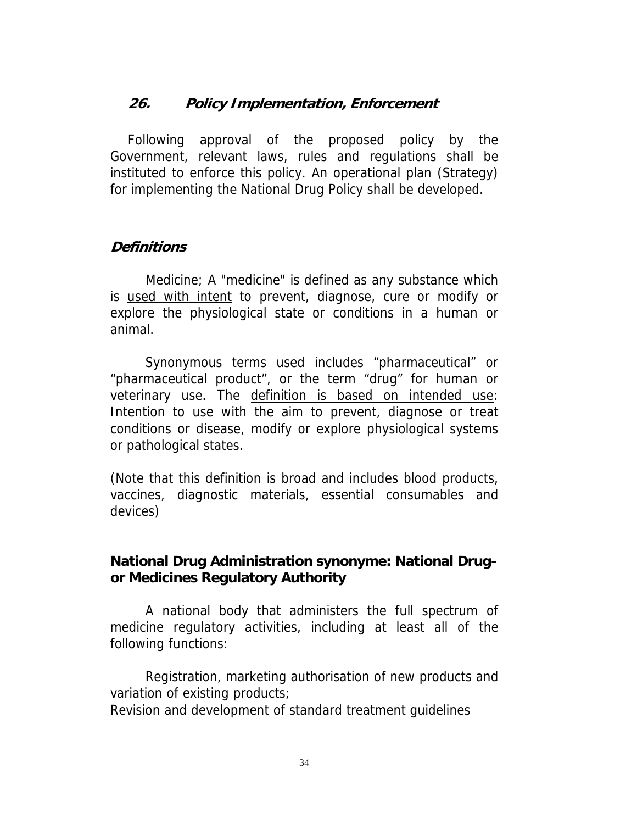## **26. Policy Implementation, Enforcement**

Following approval of the proposed policy by the Government, relevant laws, rules and regulations shall be instituted to enforce this policy. An operational plan (Strategy) for implementing the National Drug Policy shall be developed.

#### **Definitions**

Medicine; A "medicine" is defined as any substance which is used with intent to prevent, diagnose, cure or modify or explore the physiological state or conditions in a human or animal.

Synonymous terms used includes "pharmaceutical" or "pharmaceutical product", or the term "drug" for human or veterinary use. The definition is based on intended use: Intention to use with the aim to prevent, diagnose or treat conditions or disease, modify or explore physiological systems or pathological states.

(Note that this definition is broad and includes blood products, vaccines, diagnostic materials, essential consumables and devices)

## **National Drug Administration synonyme: National Drugor Medicines Regulatory Authority**

A national body that administers the full spectrum of medicine regulatory activities, including at least all of the following functions:

Registration, marketing authorisation of new products and variation of existing products;

Revision and development of standard treatment guidelines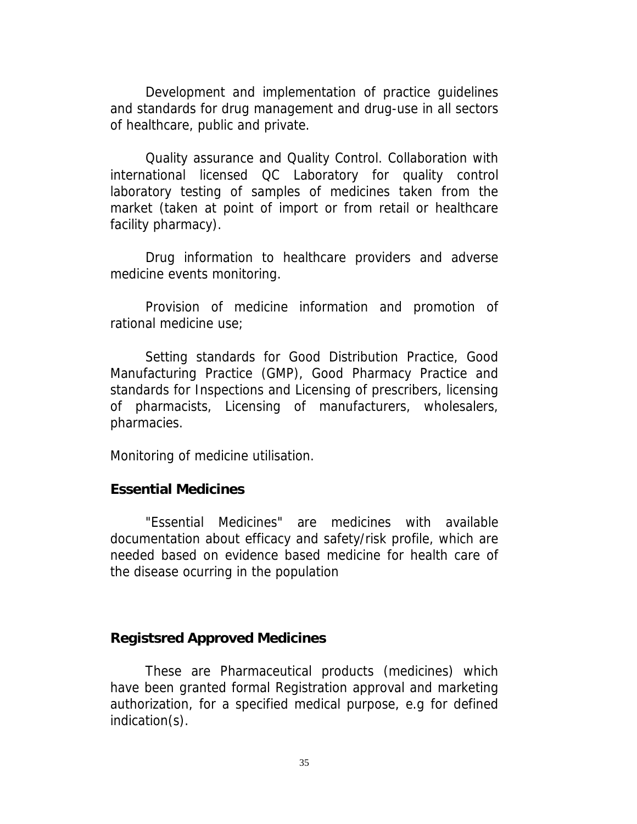Development and implementation of practice guidelines and standards for drug management and drug-use in all sectors of healthcare, public and private.

Quality assurance and Quality Control. Collaboration with international licensed QC Laboratory for quality control laboratory testing of samples of medicines taken from the market (taken at point of import or from retail or healthcare facility pharmacy).

Drug information to healthcare providers and adverse medicine events monitoring.

Provision of medicine information and promotion of rational medicine use;

Setting standards for Good Distribution Practice, Good Manufacturing Practice (GMP), Good Pharmacy Practice and standards for Inspections and Licensing of prescribers, licensing of pharmacists, Licensing of manufacturers, wholesalers, pharmacies.

Monitoring of medicine utilisation.

#### **Essential Medicines**

"Essential Medicines" are medicines with available documentation about efficacy and safety/risk profile, which are needed based on evidence based medicine for health care of the disease ocurring in the population

#### **Registsred Approved Medicines**

These are Pharmaceutical products (medicines) which have been granted formal Registration approval and marketing authorization, for a specified medical purpose, e.g for defined indication(s).